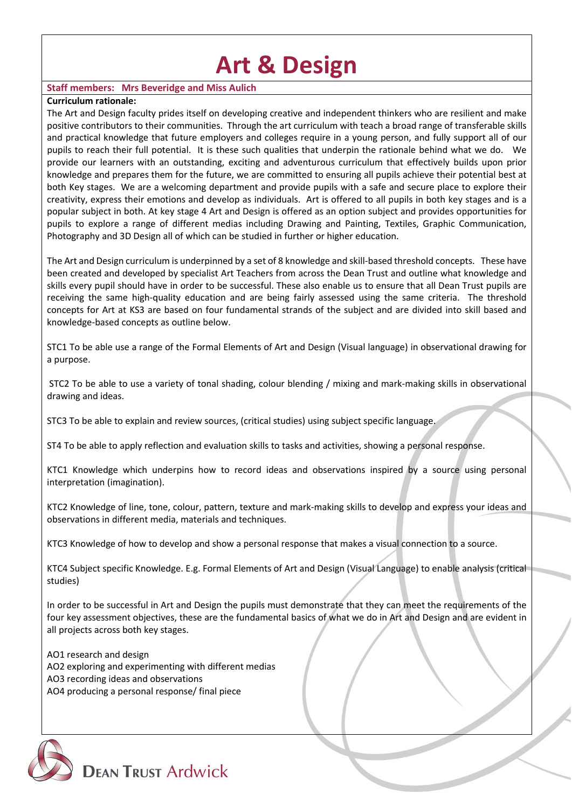# **Art & Design**

## **Staff members: Mrs Beveridge and Miss Aulich**

#### **Curriculum rationale:**

The Art and Design faculty prides itself on developing creative and independent thinkers who are resilient and make positive contributors to their communities. Through the art curriculum with teach a broad range of transferable skills and practical knowledge that future employers and colleges require in a young person, and fully support all of our pupils to reach their full potential. It is these such qualities that underpin the rationale behind what we do. We provide our learners with an outstanding, exciting and adventurous curriculum that effectively builds upon prior knowledge and prepares them for the future, we are committed to ensuring all pupils achieve their potential best at both Key stages. We are a welcoming department and provide pupils with a safe and secure place to explore their creativity, express their emotions and develop as individuals. Art is offered to all pupils in both key stages and is a popular subject in both. At key stage 4 Art and Design is offered as an option subject and provides opportunities for pupils to explore a range of different medias including Drawing and Painting, Textiles, Graphic Communication, Photography and 3D Design all of which can be studied in further or higher education.

The Art and Design curriculum is underpinned by a set of 8 knowledge and skill-based threshold concepts. These have been created and developed by specialist Art Teachers from across the Dean Trust and outline what knowledge and skills every pupil should have in order to be successful. These also enable us to ensure that all Dean Trust pupils are receiving the same high-quality education and are being fairly assessed using the same criteria. The threshold concepts for Art at KS3 are based on four fundamental strands of the subject and are divided into skill based and knowledge-based concepts as outline below.

STC1 To be able use a range of the Formal Elements of Art and Design (Visual language) in observational drawing for a purpose.

STC2 To be able to use a variety of tonal shading, colour blending / mixing and mark-making skills in observational drawing and ideas.

STC3 To be able to explain and review sources, (critical studies) using subject specific language.

ST4 To be able to apply reflection and evaluation skills to tasks and activities, showing a personal response.

KTC1 Knowledge which underpins how to record ideas and observations inspired by a source using personal interpretation (imagination).

KTC2 Knowledge of line, tone, colour, pattern, texture and mark-making skills to develop and express your ideas and observations in different media, materials and techniques.

KTC3 Knowledge of how to develop and show a personal response that makes a visual connection to a source.

KTC4 Subject specific Knowledge. E.g. Formal Elements of Art and Design (Visual Language) to enable analysis (critical studies)

In order to be successful in Art and Design the pupils must demonstrate that they can meet the requirements of the four key assessment objectives, these are the fundamental basics of what we do in Art and Design and are evident in all projects across both key stages.

AO1 research and design AO2 exploring and experimenting with different medias AO3 recording ideas and observations AO4 producing a personal response/ final piece